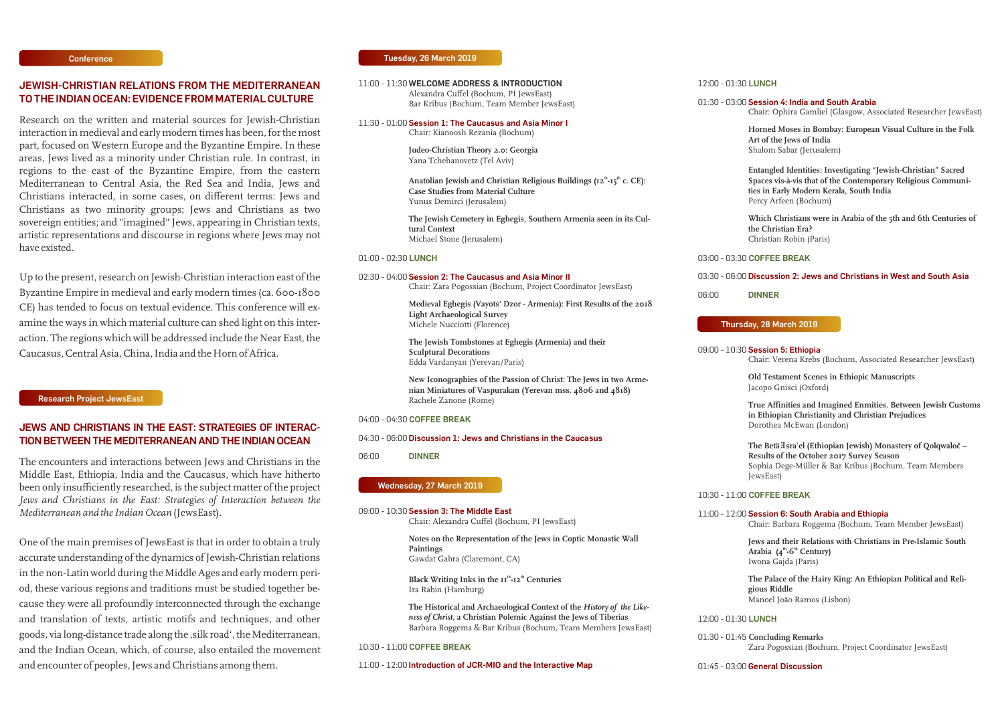#### **Tuesday, 26 March 2019**

# **JEWISH-CHRISTIAN RELATIONS FROM THE MEDITERRANEAN TO THE INDIAN OCEAN: EVIDENCE FROM MATERIAL CULTURE**

Research on the written and material sources for Jewish-Christian interaction in medieval and early modern times has been, for the most part, focused on Western Europe and the Byzantine Empire. In these areas, Jews lived as a minority under Christian rule. In contrast, in regions to the east of the Byzantine Empire, from the eastern Mediterranean to Central Asia, the Red Sea and India, Jews and Christians interacted, in some cases, on different terms: Jews and Christians as two minority groups; Jews and Christians as two sovereign entities; and "imagined" Jews, appearing in Christian texts, artistic representations and discourse in regions where Jews may not have existed.

Up to the present, research on Jewish-Christian interaction east of the Byzantine Empire in medieval and early modern times (ca. 600-1800 CE) has tended to focus on textual evidence. This conference will examine the ways in which material culture can shed light on this interaction. The regions which will be addressed include the Near East, the Caucasus, Central Asia, China, India and the Horn of Africa.

**Horned Moses in Bombay: European Visual Culture in the Folk Art of the Jews of India**  alom Sabar (Jerusalem)

**Entangled Identities: Investigating "Jewish-Christian" Sacred Spaces vis-à-vis that of the Contemporary Religious Communition Early Modern Kerala, South India** rcy Arfeen (Bochum)

**Which Christians were in Arabia of the 5th and 6th Centuries of Christian Era?** ristian Robin (Paris)

**FFEE BREAK** 

09:00 - 10:30 **Session 5: Ethiopia** air: Verena Krebs (Bochum, Associated Researcher JewsEast)

**Testament Scenes in Ethiopic Manuscripts** opo Gnisci (Oxford)

**True Affinities and Imagined Enmities. Between Jewish Customs in Ethiopian Christianity and Christian Prejudices** rothea McEwan (London)

The Betä Isra'el (Ethiopian Jewish) Monastery of Qolqwaloč – **Results of the October 2017 Survey Season** Sophia Dege-Müller & Bar Kribus (Bochum, Team Members vsEast)

### **FFEE BREAK**

#### 11:00 - 12:00 **Session 6: South Arabia and Ethiopia** air: Barbara Roggema (Bochum, Team Member JewsEast)

| 11:00 - 11:30 WELCOME ADDRESS & INTRODUCTION                                              |                                                                                                                                                                          | 12:00 - 01:30 LUI   |                                 |
|-------------------------------------------------------------------------------------------|--------------------------------------------------------------------------------------------------------------------------------------------------------------------------|---------------------|---------------------------------|
|                                                                                           | Alexandra Cuffel (Bochum, PI JewsEast)<br>Bar Kribus (Bochum, Team Member JewsEast)                                                                                      | 01:30 - 03:00 Ses   | Cha                             |
|                                                                                           | 11:30 - 01:00 Session 1: The Caucasus and Asia Minor I<br>Chair: Kianoosh Rezania (Bochum)                                                                               |                     | H <sub>o1</sub><br>Art          |
|                                                                                           | Judeo-Christian Theory 2.0: Georgia<br>Yana Tchehanovetz (Tel Aviv)                                                                                                      |                     | Sha                             |
|                                                                                           | Anatolian Jewish and Christian Religious Buildings (12 <sup>th</sup> -15 <sup>th</sup> c. CE):<br><b>Case Studies from Material Culture</b><br>Yunus Demirci (Jerusalem) |                     | Ent<br>Spa<br>ties<br>Per       |
|                                                                                           | The Jewish Cemetery in Eghegis, Southern Armenia seen in its Cul-<br>tural Context<br>Michael Stone (Jerusalem)                                                          |                     | Wh<br>the<br>Chr                |
| 01:00 - 02:30 LUNCH                                                                       |                                                                                                                                                                          | 03:00 - 03:30 COI   |                                 |
|                                                                                           | 02:30 - 04:00 Session 2: The Caucasus and Asia Minor II<br>Chair: Zara Pogossian (Bochum, Project Coordinator JewsEast)                                                  | 03:30 - 06:00 Dis   |                                 |
|                                                                                           | Medieval Eghegis (Vayots' Dzor - Armenia): First Results of the 2018<br><b>Light Archaeological Survey</b>                                                               | 06:00               | <b>DIN</b>                      |
|                                                                                           | Michele Nucciotti (Florence)                                                                                                                                             | Thursday,           |                                 |
|                                                                                           | The Jewish Tombstones at Eghegis (Armenia) and their<br><b>Sculptural Decorations</b><br>Edda Vardanyan (Yerevan/Paris)                                                  | 09:00 - 10:30 Ses   | Cha                             |
|                                                                                           | New Iconographies of the Passion of Christ: The Jews in two Arme-<br>nian Miniatures of Vaspurakan (Yerevan mss. 4806 and 4818)<br>Rachele Zanone (Rome)                 |                     | Old<br>Jacc                     |
|                                                                                           | 04:00 - 04:30 COFFEE BREAK                                                                                                                                               |                     | Tru<br>in E                     |
|                                                                                           | 04:30 - 06:00 Discussion 1: Jews and Christians in the Caucasus                                                                                                          |                     | Dor                             |
| 06:00                                                                                     | <b>DINNER</b>                                                                                                                                                            |                     | The<br><b>Res</b><br>Sop<br>Jew |
|                                                                                           | Wednesday, 27 March 2019                                                                                                                                                 | 10:30 - 11:00 COI   |                                 |
| 09:00 - 10:30 Session 3: The Middle East<br>Chair: Alexandra Cuffel (Bochum, PI JewsEast) |                                                                                                                                                                          | $11:00 - 12:00$ Ses | Cha                             |
|                                                                                           | Notes on the Representation of the Jews in Coptic Monastic Wall<br>Paintings<br>Gawdat Gabra (Claremont, CA)                                                             |                     | Jew<br>Ara<br>Iwo               |
|                                                                                           | Black Writing Inks in the II <sup>th</sup> -I2 <sup>th</sup> Centuries<br>Ira Rabin (Hamburg)                                                                            |                     | The<br>giot<br>Mai              |
|                                                                                           | The Historical and Archaeological Context of the History of the Like-<br>ness of Christ, a Christian Polemic Against the Jews of Tiberias                                | 12:00 - 01:30 LUI   |                                 |
|                                                                                           | Barbara Roggema & Bar Kribus (Bochum, Team Members JewsEast)<br>10:30 - 11:00 COFFEE BREAK                                                                               | 01:30 - 01:45 Cor   | Zar                             |
|                                                                                           | 11:00 - 12:00 Introduction of JCR-MIO and the Interactive Map                                                                                                            | $01:45 - 03:00$ Ger |                                 |
|                                                                                           |                                                                                                                                                                          |                     |                                 |

# $NCH$

**The Palace of the Hairy King: An Ethiopian Political and Religious Riddle** noel João Ramos (Lisbon)

## $NCH$

01:30 - 01:45 **Concluding Remarks** ra Pogossian (Bochum, Project Coordinator JewsEast)

#### 01:30 - 03:00 **Session 4: India and South Arabia**

air: Ophira Gamliel (Glasgow, Associated Researcher JewsEast)

#### 03:30 - 06:00 **Discussion 2: Jews and Christians in West and South Asia**

#### 06:00 **DINNER**

## **28 March 2019**

**Jews and their Relations with Christians in Pre-Islamic South** 

 $\lambda$  **th**  $\mathbf{A}^{\text{th}}$   $\cdot$  **6**  $^{\text{th}}$  Century) ona Gajda (Paris)

#### 01:45 - 03:00 **General Discussion**

# **JEWS AND CHRISTIANS IN THE EAST: STRATEGIES OF INTERAC-TION BETWEEN THE MEDITERRANEAN AND THE INDIAN OCEAN**

The encounters and interactions between Jews and Christians in the Middle East, Ethiopia, India and the Caucasus, which have hitherto been only insufficiently researched, is the subject matter of the project *Jews and Christians in the East: Strategies of Interaction between the Mediterranean and the Indian Ocean* (JewsEast).

One of the main premises of JewsEast is that in order to obtain a truly accurate understanding of the dynamics of Jewish-Christian relations in the non-Latin world during the Middle Ages and early modern period, these various regions and traditions must be studied together because they were all profoundly interconnected through the exchange and translation of texts, artistic motifs and techniques, and other goods, via long-distance trade along the , silk road', the Mediterranean, and the Indian Ocean, which, of course, also entailed the movement and encounter of peoples, Jews and Christians among them.

#### **Conference**

#### **Research Project JewsEast**